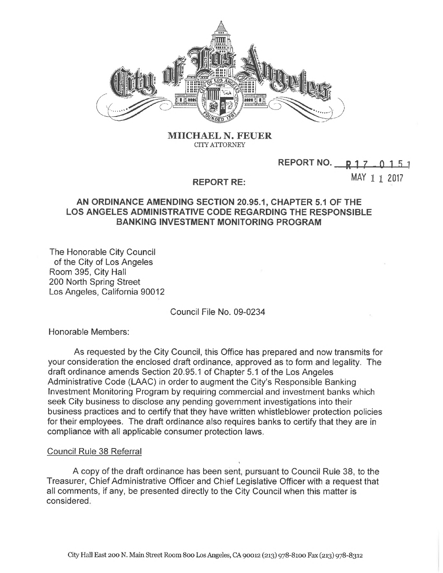

**MIICHAEL N. FEUER CITYATTORNEY**

## **REPORT NO. <sup>R</sup> <sup>1</sup>** *<sup>7</sup>* **- <sup>0</sup> <sup>1</sup> <sup>R</sup> <sup>1</sup>**

**REPORT RE:** MAY 1 1 2017

## **AN ORDINANCE AMENDING SECTION 20.95.1, CHAPTER 5.1 OF THE LOS ANGELES ADMINISTRATIVE CODE REGARDING THE RESPONSIBLE BANKING INVESTMENT MONITORING PROGRAM**

The Honorable City Council of the City of Los Angeles Room 395, City Hall 200 North Spring Street Los Angeles, California 90012

Council File No. 09-0234

Honorable Members:

As requested by the City Council, this Office has prepared and now transmits for your consideration the enclosed draft ordinance, approved as to form and legality. The draft ordinance amends Section 20.95.1 of Chapter 5.1 of the Los Angeles Administrative Code (LAAC) in order to augment the City's Responsible Banking Investment Monitoring Program by requiring commercial and investment banks which seek City business to disclose any pending government investigations into their business practices and to certify that they have written whistleblower protection policies for their employees. The draft ordinance also requires banks to certify that they are in compliance with all applicable consumer protection laws.

## Council Rule 38 Referral

A copy of the draft ordinance has been sent, pursuant to Council Rule 38, to the Treasurer, Chief Administrative Officer and Chief Legislative Officer with a request that all comments, if any, be presented directly to the City Council when this matter is considered.